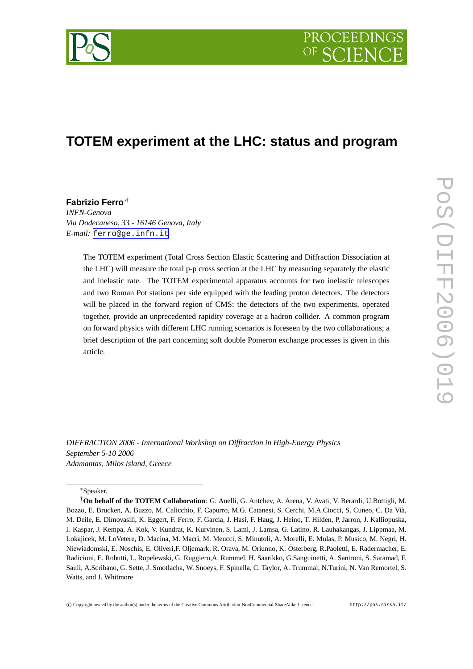

# **TOTEM experiment at the LHC: status and program**

# **Fabrizio Ferro** ∗†

*INFN-Genova Via Dodecaneso, 33 - 16146 Genova, Italy E-mail:* [ferro@ge.infn.it](mailto:ferro@ge.infn.it)

> The TOTEM experiment (Total Cross Section Elastic Scattering and Diffraction Dissociation at the LHC) will measure the total p-p cross section at the LHC by measuring separately the elastic and inelastic rate. The TOTEM experimental apparatus accounts for two inelastic telescopes and two Roman Pot stations per side equipped with the leading proton detectors. The detectors will be placed in the forward region of CMS: the detectors of the two experiments, operated together, provide an unprecedented rapidity coverage at a hadron collider. A common program on forward physics with different LHC running scenarios is foreseen by the two collaborations; a brief description of the part concerning soft double Pomeron exchange processes is given in this article.

*DIFFRACTION 2006 - International Workshop on Diffraction in High-Energy Physics September 5-10 2006 Adamantas, Milos island, Greece*

## ∗Speaker.

<sup>†</sup>**On behalf of the TOTEM Collaboration**: G. Anelli, G. Antchev, A. Arena, V. Avati, V. Berardi, U.Bottigli, M. Bozzo, E. Brucken, A. Buzzo, M. Calicchio, F. Capurro, M.G. Catanesi, S. Cerchi, M.A.Ciocci, S. Cuneo, C. Da Vià, M. Deile, E. Dimovasili, K. Eggert, F. Ferro, F. Garcia, J. Hasi, F. Haug, J. Heino, T. Hilden, P. Jarron, J. Kalliopuska, J. Kaspar, J. Kempa, A. Kok, V. Kundrat, K. Kurvinen, S. Lami, J. Lamsa, G. Latino, R. Lauhakangas, J. Lippmaa, M. Lokajicek, M. LoVetere, D. Macina, M. Macrì, M. Meucci, S. Minutoli, A. Morelli, E. Mulas, P. Musico, M. Negri, H. Niewiadomski, E. Noschis, E. Oliveri, F. Oljemark, R. Orava, M. Oriunno, K. Österberg, R.Paoletti, E. Radermacher, E. Radicioni, E. Robutti, L. Ropelewski, G. Ruggiero,A. Rummel, H. Saarikko, G.Sanguinetti, A. Santroni, S. Saramad, F. Sauli, A.Scribano, G. Sette, J. Smotlacha, W. Snoeys, F. Spinella, C. Taylor, A. Trummal, N.Turini, N. Van Remortel, S. Watts, and J. Whitmore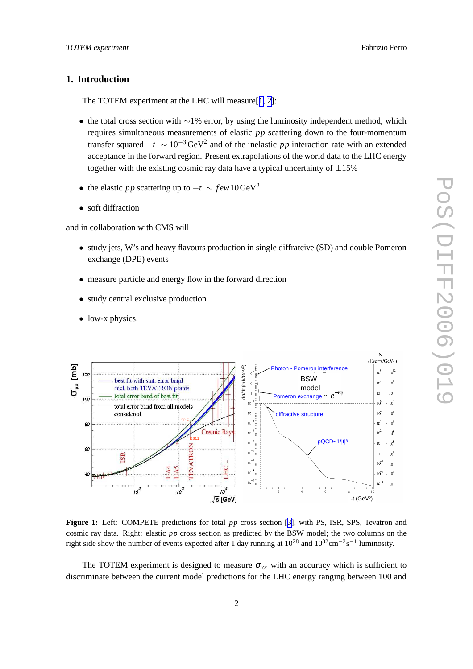# **1. Introduction**

The TOTEM experiment at the LHC will measure[[1,](#page-9-0) [2\]](#page-9-0):

- the total cross section with  $~\sim$ 1% error, by using the luminosity independent method, which requires simultaneous measurements of elastic *pp* scattering down to the four-momentum transfer squared  $-t \sim 10^{-3} \text{GeV}^2$  and of the inelastic *pp* interaction rate with an extended acceptance in the forward region. Present extrapolations of the world data to the LHC energy together with the existing cosmic ray data have a typical uncertainty of  $\pm 15\%$
- the elastic *pp* scattering up to  $-t \sim few 10 \text{GeV}^2$
- soft diffraction

and in collaboration with CMS will

- study jets, W's and heavy flavours production in single diffratcive (SD) and double Pomeron exchange (DPE) events
- measure particle and energy flow in the forward direction
- study central exclusive production
- low-x physics.



**Figure 1:** Left: COMPETE predictions for total *pp* cross section [[3\]](#page-9-0), with PS, ISR, SPS, Tevatron and cosmic ray data. Right: elastic *pp* cross section as predicted by the BSW model; the two columns on the right side show the number of events expected after 1 day running at  $10^{28}$  and  $10^{32}$ cm<sup>-2</sup>s<sup>-1</sup> luminosity.

The TOTEM experiment is designed to measure  $\sigma_{tot}$  with an accuracy which is sufficient to discriminate between the current model predictions for the LHC energy ranging between 100 and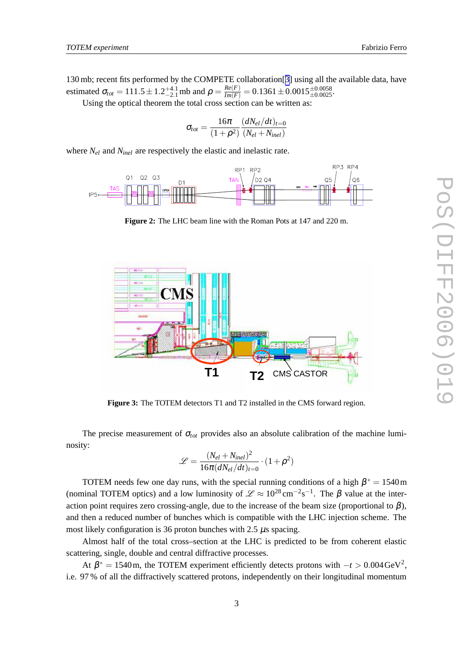<span id="page-2-0"></span>130 mb; recent fits performed by the COMPETE collaboration[[3](#page-9-0)] using all the available data, have estimated  $\sigma_{tot} = 111.5 \pm 1.2^{+4.1}_{-2.1}$  mb and  $\rho = \frac{Re(F)}{Im(F)} = 0.1361 \pm 0.0015^{+0.0058}_{+0.0025}$ .

Using the optical theorem the total cross section can be written as:

$$
\sigma_{tot} = \frac{16\pi}{\left(1+\rho^2\right)} \frac{(dN_{el}/dt)_{t=0}}{(N_{el}+N_{inel})}
$$

where *Nel* and *Ninel* are respectively the elastic and inelastic rate.



**Figure 2:** The LHC beam line with the Roman Pots at 147 and 220 m.



**Figure 3:** The TOTEM detectors T1 and T2 installed in the CMS forward region.

The precise measurement of  $\sigma_{tot}$  provides also an absolute calibration of the machine luminosity:

$$
\mathcal{L} = \frac{(N_{el} + N_{inel})^2}{16\pi (dN_{el}/dt)_{t=0}} \cdot (1 + \rho^2)
$$

TOTEM needs few one day runs, with the special running conditions of a high  $\beta^* = 1540 \,\text{m}$ (nominal TOTEM optics) and a low luminosity of  $\mathscr{L} \approx 10^{28} \text{ cm}^{-2} \text{s}^{-1}$ . The  $\beta$  value at the interaction point requires zero crossing-angle, due to the increase of the beam size (proportional to  $\beta$ ), and then a reduced number of bunches which is compatible with the LHC injection scheme. The most likely configuration is 36 proton bunches with 2.5 µs spacing.

Almost half of the total cross–section at the LHC is predicted to be from coherent elastic scattering, single, double and central diffractive processes.

At  $\beta^* = 1540$  m, the TOTEM experiment efficiently detects protons with  $-t > 0.004 \text{ GeV}^2$ , i.e. 97 % of all the diffractively scattered protons, independently on their longitudinal momentum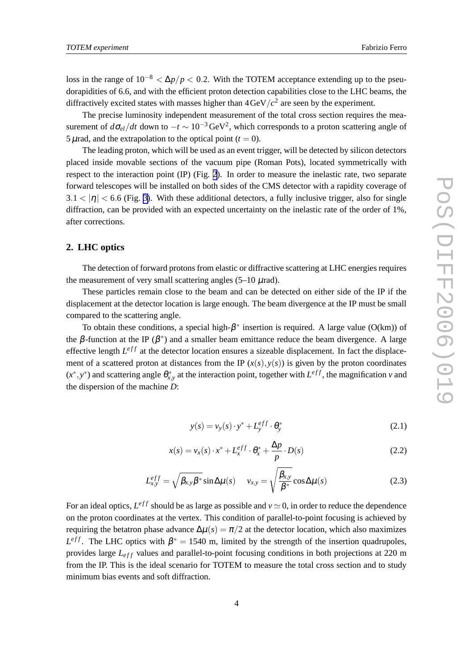<span id="page-3-0"></span>loss in the range of  $10^{-8} < \Delta p / p < 0.2$ . With the TOTEM acceptance extending up to the pseudorapidities of 6.6, and with the efficient proton detection capabilities close to the LHC beams, the diffractively excited states with masses higher than  $4 \text{GeV}/c^2$  are seen by the experiment.

The precise luminosity independent measurement of the total cross section requires the measurement of  $d\sigma_{el}/dt$  down to  $-t \sim 10^{-3} \text{GeV}^2$ , which corresponds to a proton scattering angle of 5  $\mu$ rad, and the extrapolation to the optical point ( $t = 0$ ).

The leading proton, which will be used as an event trigger, will be detected by silicon detectors placed inside movable sections of the vacuum pipe (Roman Pots), located symmetrically with respect to the interaction point (IP) (Fig. [2](#page-2-0)). In order to measure the inelastic rate, two separate forward telescopes will be installed on both sides of the CMS detector with a rapidity coverage of  $3.1 < |\eta| < 6.6$  (Fig. [3\)](#page-2-0). With these additional detectors, a fully inclusive trigger, also for single diffraction, can be provided with an expected uncertainty on the inelastic rate of the order of 1%, after corrections.

# **2. LHC optics**

The detection of forward protons from elastic or diffractive scattering at LHC energies requires the measurement of very small scattering angles  $(5-10 \mu \text{rad})$ .

These particles remain close to the beam and can be detected on either side of the IP if the displacement at the detector location is large enough. The beam divergence at the IP must be small compared to the scattering angle.

To obtain these conditions, a special high- $\beta^*$  insertion is required. A large value (O(km)) of the β-function at the IP ( $\beta^*$ ) and a smaller beam emittance reduce the beam divergence. A large effective length  $L^{eff}$  at the detector location ensures a sizeable displacement. In fact the displacement of a scattered proton at distances from the IP  $(x(s), y(s))$  is given by the proton coordinates  $(x^*, y^*)$  and scattering angle  $\theta_{x,y}^*$  at the interaction point, together with  $L^{eff}$ , the magnification *v* and the dispersion of the machine *D*:

$$
y(s) = v_y(s) \cdot y^* + L_y^{eff} \cdot \theta_y^* \tag{2.1}
$$

$$
x(s) = v_x(s) \cdot x^* + L_x^{eff} \cdot \theta_x^* + \frac{\Delta p}{p} \cdot D(s)
$$
\n(2.2)

$$
L_{x,y}^{eff} = \sqrt{\beta_{x,y}\beta^*} \sin \Delta \mu(s) \qquad v_{x,y} = \sqrt{\frac{\beta_{x,y}}{\beta^*}} \cos \Delta \mu(s) \tag{2.3}
$$

For an ideal optics,  $L^{eff}$  should be as large as possible and  $v \approx 0$ , in order to reduce the dependence on the proton coordinates at the vertex. This condition of parallel-to-point focusing is achieved by requiring the betatron phase advance  $\Delta \mu(s) = \pi/2$  at the detector location, which also maximizes  $L^{eff}$ . The LHC optics with  $\beta^* = 1540$  m, limited by the strength of the insertion quadrupoles, provides large  $L_{eff}$  values and parallel-to-point focusing conditions in both projections at 220 m from the IP. This is the ideal scenario for TOTEM to measure the total cross section and to study minimum bias events and soft diffraction.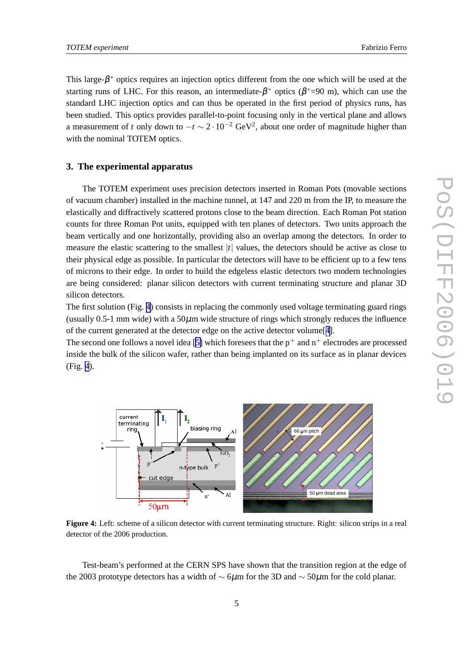This large- $\beta^*$  optics requires an injection optics different from the one which will be used at the starting runs of LHC. For this reason, an intermediate- $\beta^*$  optics ( $\beta^*$ =90 m), which can use the standard LHC injection optics and can thus be operated in the first period of physics runs, has been studied. This optics provides parallel-to-point focusing only in the vertical plane and allows a measurement of *t* only down to  $-t \sim 2 \cdot 10^{-2}$  GeV<sup>2</sup>, about one order of magnitude higher than with the nominal TOTEM optics.

## **3. The experimental apparatus**

The TOTEM experiment uses precision detectors inserted in Roman Pots (movable sections of vacuum chamber) installed in the machine tunnel, at 147 and 220 m from the IP, to measure the elastically and diffractively scattered protons close to the beam direction. Each Roman Pot station counts for three Roman Pot units, equipped with ten planes of detectors. Two units approach the beam vertically and one horizontally, providing also an overlap among the detectors. In order to measure the elastic scattering to the smallest |*t*| values, the detectors should be active as close to their physical edge as possible. In particular the detectors will have to be efficient up to a few tens of microns to their edge. In order to build the edgeless elastic detectors two modern technologies are being considered: planar silicon detectors with current terminating structure and planar 3D silicon detectors.

The first solution (Fig. 4) consists in replacing the commonly used voltage terminating guard rings (usually  $0.5$ -1 mm wide) with a  $50\mu$ m wide structure of rings which strongly reduces the influence of the current generated at the detector edge on the active detector volume[[4\]](#page-9-0).

The second one follows a novel idea [[5\]](#page-9-0) which foresees that the  $p^+$  and  $n^+$  electrodes are processed inside the bulk of the silicon wafer, rather than being implanted on its surface as in planar devices (Fig. 4).



**Figure 4:** Left: scheme of a silicon detector with current terminating structure. Right: silicon strips in a real detector of the 2006 production.

Test-beam's performed at the CERN SPS have shown that the transition region at the edge of the 2003 prototype detectors has a width of  $\sim$  6µm for the 3D and  $\sim$  50µm for the cold planar.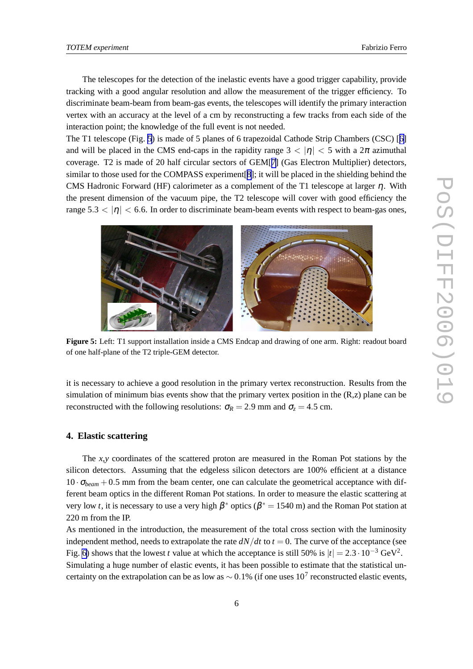The telescopes for the detection of the inelastic events have a good trigger capability, provide tracking with a good angular resolution and allow the measurement of the trigger efficiency. To discriminate beam-beam from beam-gas events, the telescopes will identify the primary interaction vertex with an accuracy at the level of a cm by reconstructing a few tracks from each side of the interaction point; the knowledge of the full event is not needed.

The T1 telescope (Fig. 5) is made of 5 planes of 6 trapezoidal Cathode Strip Chambers (CSC) [[6\]](#page-9-0) and will be placed in the CMS end-caps in the rapidity range  $3 < |\eta| < 5$  with a  $2\pi$  azimuthal coverage. T2 is made of 20 half circular sectors of GEM[[7\]](#page-9-0) (Gas Electron Multiplier) detectors, similar to those used for the COMPASS experiment[[8](#page-9-0)]; it will be placed in the shielding behind the CMS Hadronic Forward (HF) calorimeter as a complement of the T1 telescope at larger  $\eta$ . With the present dimension of the vacuum pipe, the T2 telescope will cover with good efficiency the range  $5.3 < |\eta| < 6.6$ . In order to discriminate beam-beam events with respect to beam-gas ones,



**Figure 5:** Left: T1 support installation inside a CMS Endcap and drawing of one arm. Right: readout board of one half-plane of the T2 triple-GEM detector.

it is necessary to achieve a good resolution in the primary vertex reconstruction. Results from the simulation of minimum bias events show that the primary vertex position in the  $(R, z)$  plane can be reconstructed with the following resolutions:  $\sigma_R = 2.9$  mm and  $\sigma_z = 4.5$  cm.

#### **4. Elastic scattering**

The *x*,*y* coordinates of the scattered proton are measured in the Roman Pot stations by the silicon detectors. Assuming that the edgeless silicon detectors are 100% efficient at a distance  $10 \cdot \sigma_{beam} + 0.5$  mm from the beam center, one can calculate the geometrical acceptance with different beam optics in the different Roman Pot stations. In order to measure the elastic scattering at very low *t*, it is necessary to use a very high  $\beta^*$  optics ( $\beta^* = 1540$  m) and the Roman Pot station at 220 m from the IP.

As mentioned in the introduction, the measurement of the total cross section with the luminosity independent method, needs to extrapolate the rate  $dN/dt$  to  $t = 0$ . The curve of the acceptance (see Fig. [6\)](#page-6-0) shows that the lowest *t* value at which the acceptance is still 50% is  $|t| = 2.3 \cdot 10^{-3} \text{ GeV}^2$ .

Simulating a huge number of elastic events, it has been possible to estimate that the statistical uncertainty on the extrapolation can be as low as  $\sim 0.1\%$  (if one uses  $10^7$  reconstructed elastic events,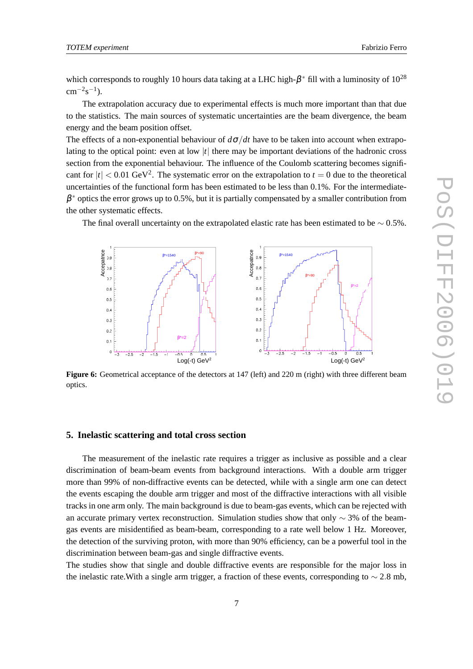<span id="page-6-0"></span>which corresponds to roughly 10 hours data taking at a LHC high- $\beta^*$  fill with a luminosity of  $10^{28}$  $\rm cm^{-2}s^{-1}$ ).

The extrapolation accuracy due to experimental effects is much more important than that due to the statistics. The main sources of systematic uncertainties are the beam divergence, the beam energy and the beam position offset.

The effects of a non-exponential behaviour of  $d\sigma/dt$  have to be taken into account when extrapolating to the optical point: even at low |*t*| there may be important deviations of the hadronic cross section from the exponential behaviour. The influence of the Coulomb scattering becomes significant for  $|t| < 0.01$  GeV<sup>2</sup>. The systematic error on the extrapolation to  $t = 0$  due to the theoretical uncertainties of the functional form has been estimated to be less than 0.1%. For the intermediate- $\beta^*$  optics the error grows up to 0.5%, but it is partially compensated by a smaller contribution from the other systematic effects.

The final overall uncertainty on the extrapolated elastic rate has been estimated to be  $\sim 0.5\%$ .



**Figure 6:** Geometrical acceptance of the detectors at 147 (left) and 220 m (right) with three different beam optics.

## **5. Inelastic scattering and total cross section**

The measurement of the inelastic rate requires a trigger as inclusive as possible and a clear discrimination of beam-beam events from background interactions. With a double arm trigger more than 99% of non-diffractive events can be detected, while with a single arm one can detect the events escaping the double arm trigger and most of the diffractive interactions with all visible tracks in one arm only. The main background is due to beam-gas events, which can be rejected with an accurate primary vertex reconstruction. Simulation studies show that only  $\sim$  3% of the beamgas events are misidentified as beam-beam, corresponding to a rate well below 1 Hz. Moreover, the detection of the surviving proton, with more than 90% efficiency, can be a powerful tool in the discrimination between beam-gas and single diffractive events.

The studies show that single and double diffractive events are responsible for the major loss in the inelastic rate.With a single arm trigger, a fraction of these events, corresponding to  $\sim$  2.8 mb,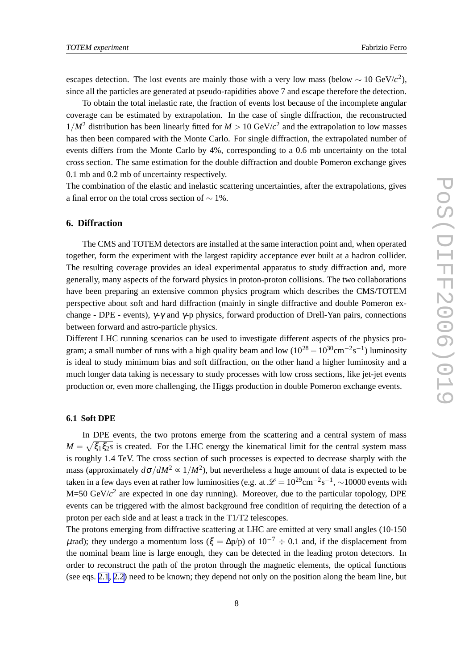escapes detection. The lost events are mainly those with a very low mass (below  $\sim 10 \text{ GeV}/c^2$ ), since all the particles are generated at pseudo-rapidities above 7 and escape therefore the detection.

To obtain the total inelastic rate, the fraction of events lost because of the incomplete angular coverage can be estimated by extrapolation. In the case of single diffraction, the reconstructed  $1/M^2$  distribution has been linearly fitted for  $M > 10 \text{ GeV}/c^2$  and the extrapolation to low masses has then been compared with the Monte Carlo. For single diffraction, the extrapolated number of events differs from the Monte Carlo by 4%, corresponding to a 0.6 mb uncertainty on the total cross section. The same estimation for the double diffraction and double Pomeron exchange gives 0.1 mb and 0.2 mb of uncertainty respectively.

The combination of the elastic and inelastic scattering uncertainties, after the extrapolations, gives a final error on the total cross section of ∼ 1%.

# **6. Diffraction**

The CMS and TOTEM detectors are installed at the same interaction point and, when operated together, form the experiment with the largest rapidity acceptance ever built at a hadron collider. The resulting coverage provides an ideal experimental apparatus to study diffraction and, more generally, many aspects of the forward physics in proton-proton collisions. The two collaborations have been preparing an extensive common physics program which describes the CMS/TOTEM perspective about soft and hard diffraction (mainly in single diffractive and double Pomeron exchange - DPE - events),  $\gamma$ - $\gamma$  and  $\gamma$ -p physics, forward production of Drell-Yan pairs, connections between forward and astro-particle physics.

Different LHC running scenarios can be used to investigate different aspects of the physics program; a small number of runs with a high quality beam and low  $(10^{28} - 10^{30} \text{cm}^{-2} \text{s}^{-1})$  luminosity is ideal to study minimum bias and soft diffraction, on the other hand a higher luminosity and a much longer data taking is necessary to study processes with low cross sections, like jet-jet events production or, even more challenging, the Higgs production in double Pomeron exchange events.

## **6.1 Soft DPE**

In DPE events, the two protons emerge from the scattering and a central system of mass  $M = \sqrt{\xi_1 \xi_2 s}$  is created. For the LHC energy the kinematical limit for the central system mass is roughly 1.4 TeV. The cross section of such processes is expected to decrease sharply with the mass (approximately  $d\sigma/dM^2 \propto 1/M^2$ ), but nevertheless a huge amount of data is expected to be taken in a few days even at rather low luminosities (e.g. at  $\mathcal{L} = 10^{29}$ cm<sup>-2</sup>s<sup>-1</sup>, ~10000 events with M=50 GeV/ $c^2$  are expected in one day running). Moreover, due to the particular topology, DPE events can be triggered with the almost background free condition of requiring the detection of a proton per each side and at least a track in the T1/T2 telescopes.

The protons emerging from diffractive scattering at LHC are emitted at very small angles (10-150  $μ$ rad); they undergo a momentum loss ( $ξ = Δp/p$ ) of  $10^{-7} ÷ 0.1$  and, if the displacement from the nominal beam line is large enough, they can be detected in the leading proton detectors. In order to reconstruct the path of the proton through the magnetic elements, the optical functions (see eqs. [2.1](#page-3-0), [2.2](#page-3-0)) need to be known; they depend not only on the position along the beam line, but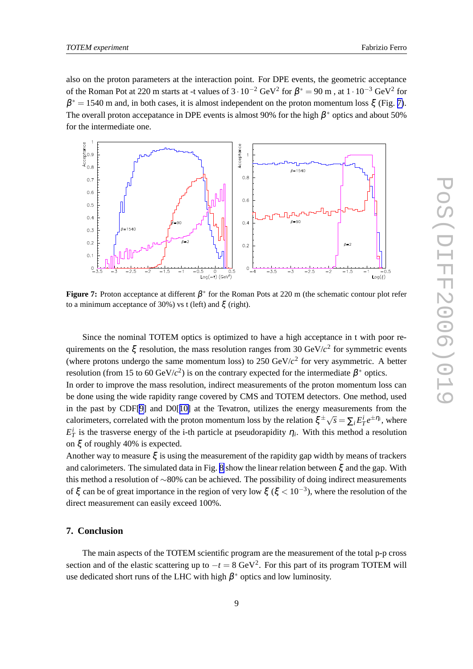also on the proton parameters at the interaction point. For DPE events, the geometric acceptance of the Roman Pot at 220 m starts at -t values of  $3 \cdot 10^{-2}$  GeV<sup>2</sup> for  $\beta^* = 90$  m, at  $1 \cdot 10^{-3}$  GeV<sup>2</sup> for  $\beta^* = 1540$  m and, in both cases, it is almost independent on the proton momentum loss  $\xi$  (Fig. 7). The overall proton accepatance in DPE events is almost 90% for the high  $\beta^*$  optics and about 50% for the intermediate one.



**Figure 7:** Proton acceptance at different β ∗ for the Roman Pots at 220 m (the schematic contour plot refer to a minimum acceptance of 30%) vs t (left) and  $\xi$  (right).

Since the nominal TOTEM optics is optimized to have a high acceptance in t with poor requirements on the  $\xi$  resolution, the mass resolution ranges from 30 GeV/ $c^2$  for symmetric events (where protons undergo the same momentum loss) to  $250 \text{ GeV}/c^2$  for very asymmetric. A better resolution (from 15 to 60 GeV/ $c^2$ ) is on the contrary expected for the intermediate  $\beta^*$  optics.

In order to improve the mass resolution, indirect measurements of the proton momentum loss can be done using the wide rapidity range covered by CMS and TOTEM detectors. One method, used in the past by CDF[\[9\]](#page-9-0) and D0[[10\]](#page-9-0) at the Tevatron, utilizes the energy measurements from the calorimeters, correlated with the proton momentum loss by the relation  $\xi^{\pm} \sqrt{s} = \sum_i E_T^i e^{\pm \eta_i}$ , where  $E_T^i$  is the trasverse energy of the i-th particle at pseudorapidity  $\eta_i$ . With this method a resolution on ξ of roughly 40% is expected.

Another way to measure  $\xi$  is using the measurement of the rapidity gap width by means of trackers and calorimeters. The simulated data in Fig. [8](#page-9-0) show the linear relation between  $\xi$  and the gap. With this method a resolution of ∼80% can be achieved. The possibility of doing indirect measurements of  $\xi$  can be of great importance in the region of very low  $\xi$  ( $\xi < 10^{-3}$ ), where the resolution of the direct measurement can easily exceed 100%.

# **7. Conclusion**

The main aspects of the TOTEM scientific program are the measurement of the total p-p cross section and of the elastic scattering up to  $-t = 8 \text{ GeV}^2$ . For this part of its program TOTEM will use dedicated short runs of the LHC with high  $\beta^*$  optics and low luminosity.